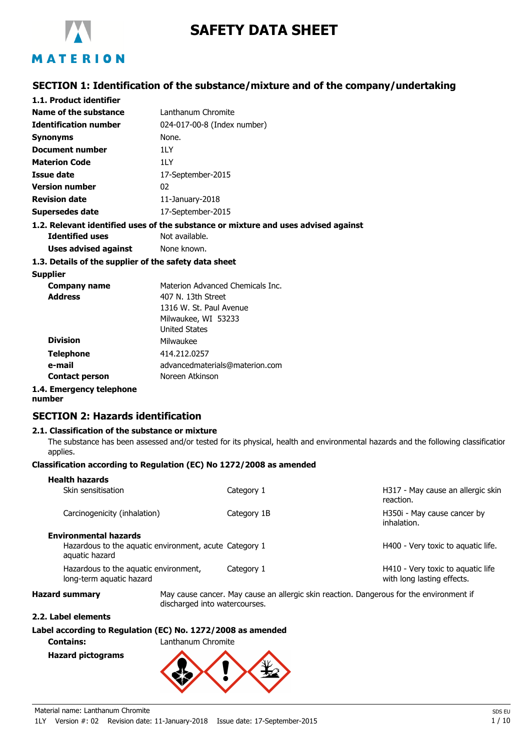

# **SAFETY DATA SHEET**

### **SECTION 1: Identification of the substance/mixture and of the company/undertaking**

| 1.1. Product identifier                               |                                                                                    |
|-------------------------------------------------------|------------------------------------------------------------------------------------|
| Name of the substance                                 | Lanthanum Chromite                                                                 |
| <b>Identification number</b>                          | 024-017-00-8 (Index number)                                                        |
| <b>Synonyms</b>                                       | None.                                                                              |
| Document number                                       | 11 Y                                                                               |
| <b>Materion Code</b>                                  | 11 Y                                                                               |
| Issue date                                            | 17-September-2015                                                                  |
| <b>Version number</b>                                 | 02                                                                                 |
| <b>Revision date</b>                                  | 11-January-2018                                                                    |
| <b>Supersedes date</b>                                | 17-September-2015                                                                  |
|                                                       | 1.2. Relevant identified uses of the substance or mixture and uses advised against |
| <b>Identified uses</b>                                | Not available.                                                                     |
| <b>Uses advised against</b> None known.               |                                                                                    |
| 1.3. Details of the supplier of the safety data sheet |                                                                                    |
| <b>Supplier</b>                                       |                                                                                    |
| <b>Company name</b>                                   | Materion Advanced Chemicals Inc.                                                   |
| <b>Address</b>                                        | 407 N. 13th Street                                                                 |
|                                                       | 1316 W. St. Paul Avenue                                                            |
|                                                       | Milwaukee, WI 53233                                                                |
|                                                       | <b>United States</b>                                                               |
| <b>Division</b>                                       | Milwaukee                                                                          |
| Telephone                                             | 414.212.0257                                                                       |

advancedmaterials@materion.com

Noreen Atkinson

**Contact person 1.4. Emergency telephone**

**number**

**e-mail**

### **SECTION 2: Hazards identification**

#### **2.1. Classification of the substance or mixture**

The substance has been assessed and/or tested for its physical, health and environmental hazards and the following classification applies.

#### **Classification according to Regulation (EC) No 1272/2008 as amended**

| <b>Health hazards</b>                                                    |                               |             |  |                                                                                         |  |
|--------------------------------------------------------------------------|-------------------------------|-------------|--|-----------------------------------------------------------------------------------------|--|
| Skin sensitisation                                                       |                               | Category 1  |  | H317 - May cause an allergic skin<br>reaction.                                          |  |
| Carcinogenicity (inhalation)                                             |                               | Category 1B |  | H350i - May cause cancer by<br>inhalation.                                              |  |
| <b>Environmental hazards</b>                                             |                               |             |  |                                                                                         |  |
| Hazardous to the aquatic environment, acute Category 1<br>aquatic hazard |                               |             |  | H400 - Very toxic to aguatic life.                                                      |  |
| Hazardous to the aquatic environment,<br>long-term aquatic hazard        |                               | Category 1  |  | H410 - Very toxic to aguatic life<br>with long lasting effects.                         |  |
| <b>Hazard summary</b>                                                    | discharged into watercourses. |             |  | May cause cancer. May cause an allergic skin reaction. Dangerous for the environment if |  |

#### **2.2. Label elements**

### **Label according to Regulation (EC) No. 1272/2008 as amended**

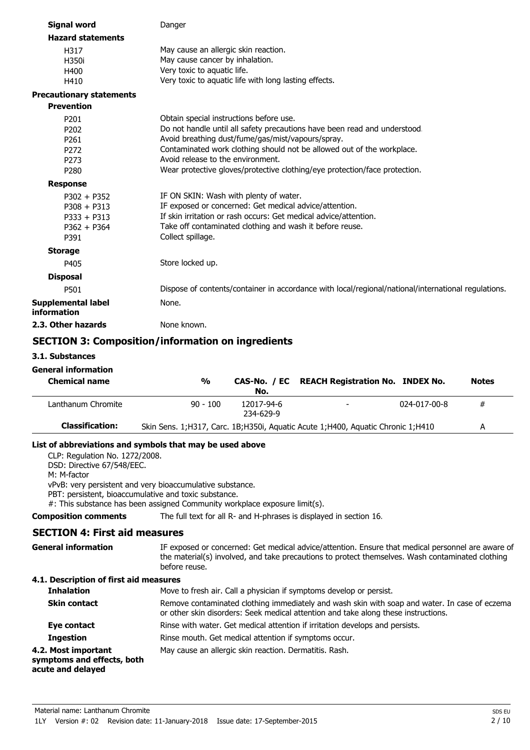| <b>Signal word</b>                | Danger                                                                                              |
|-----------------------------------|-----------------------------------------------------------------------------------------------------|
| <b>Hazard statements</b>          |                                                                                                     |
| H317                              | May cause an allergic skin reaction.                                                                |
| H350i                             | May cause cancer by inhalation.                                                                     |
| H400                              | Very toxic to aquatic life.                                                                         |
| H410                              | Very toxic to aquatic life with long lasting effects.                                               |
| <b>Precautionary statements</b>   |                                                                                                     |
| <b>Prevention</b>                 |                                                                                                     |
| P <sub>201</sub>                  | Obtain special instructions before use.                                                             |
| P <sub>202</sub>                  | Do not handle until all safety precautions have been read and understood.                           |
| P261                              | Avoid breathing dust/fume/gas/mist/vapours/spray.                                                   |
| P <sub>272</sub>                  | Contaminated work clothing should not be allowed out of the workplace.                              |
| P <sub>273</sub>                  | Avoid release to the environment.                                                                   |
| P <sub>280</sub>                  | Wear protective gloves/protective clothing/eye protection/face protection.                          |
| <b>Response</b>                   |                                                                                                     |
| $P302 + P352$                     | IF ON SKIN: Wash with plenty of water.                                                              |
| $P308 + P313$                     | IF exposed or concerned: Get medical advice/attention.                                              |
| $P333 + P313$                     | If skin irritation or rash occurs: Get medical advice/attention.                                    |
| $P362 + P364$                     | Take off contaminated clothing and wash it before reuse.                                            |
| P391                              | Collect spillage.                                                                                   |
| <b>Storage</b>                    |                                                                                                     |
| P405                              | Store locked up.                                                                                    |
| <b>Disposal</b>                   |                                                                                                     |
| P501                              | Dispose of contents/container in accordance with local/regional/national/international regulations. |
| Supplemental label<br>information | None.                                                                                               |
| 2.3. Other hazards                | None known.                                                                                         |
|                                   |                                                                                                     |

### **SECTION 3: Composition/information on ingredients**

#### **3.1. Substances**

#### **General information**

| <b>Chemical name</b>   | $\frac{0}{0}$ | No.                     | CAS-No. / EC REACH Registration No. INDEX No.                                   |              | <b>Notes</b> |
|------------------------|---------------|-------------------------|---------------------------------------------------------------------------------|--------------|--------------|
| Lanthanum Chromite     | $90 - 100$    | 12017-94-6<br>234-629-9 | $\overline{\phantom{0}}$                                                        | 024-017-00-8 | #            |
| <b>Classification:</b> |               |                         | Skin Sens. 1;H317, Carc. 1B;H350i, Aquatic Acute 1;H400, Aquatic Chronic 1;H410 |              | А            |

#### **List of abbreviations and symbols that may be used above**

CLP: Regulation No. 1272/2008.

DSD: Directive 67/548/EEC.

M: M-factor

vPvB: very persistent and very bioaccumulative substance.

PBT: persistent, bioaccumulative and toxic substance.

#: This substance has been assigned Community workplace exposure limit(s).

**Composition comments** The full text for all R- and H-phrases is displayed in section 16.

### **SECTION 4: First aid measures**

| <b>General information</b>             | IF exposed or concerned: Get medical advice/attention. Ensure that medical personnel are aware of |  |  |
|----------------------------------------|---------------------------------------------------------------------------------------------------|--|--|
|                                        | the material(s) involved, and take precautions to protect themselves. Wash contaminated clothing  |  |  |
|                                        | before reuse.                                                                                     |  |  |
| 4.1. Description of first aid measures |                                                                                                   |  |  |

#### **Inhalation** Move to fresh air. Call a physician if symptoms develop or persist. Remove contaminated clothing immediately and wash skin with soap and water. In case of eczema or other skin disorders: Seek medical attention and take along these instructions. **Skin contact Eye contact** Rinse with water. Get medical attention if irritation develops and persists. **Ingestion** Rinse mouth. Get medical attention if symptoms occur. **4.2. Most important** May cause an allergic skin reaction. Dermatitis. Rash. **symptoms and effects, both acute and delayed**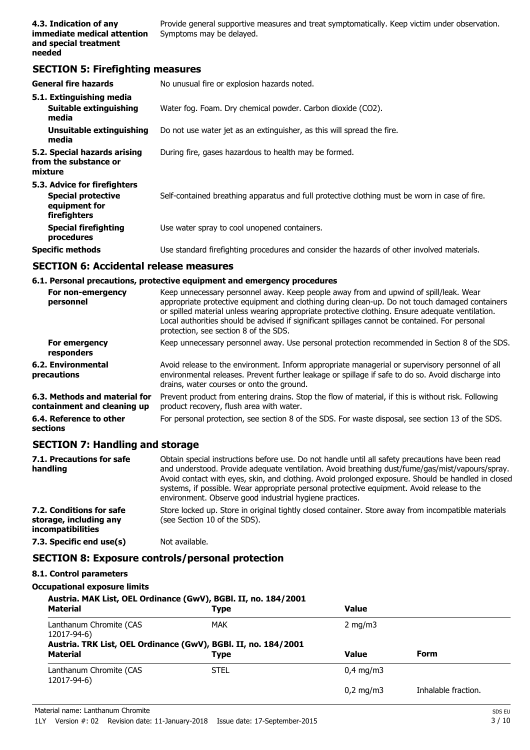Provide general supportive measures and treat symptomatically. Keep victim under observation. Symptoms may be delayed.

### **SECTION 5: Firefighting measures**

| <b>General fire hazards</b>                                                                | No unusual fire or explosion hazards noted.                                                   |
|--------------------------------------------------------------------------------------------|-----------------------------------------------------------------------------------------------|
| 5.1. Extinguishing media<br>Suitable extinguishing<br>media                                | Water fog. Foam. Dry chemical powder. Carbon dioxide (CO2).                                   |
| Unsuitable extinguishing<br>media                                                          | Do not use water jet as an extinguisher, as this will spread the fire.                        |
| 5.2. Special hazards arising<br>from the substance or<br>mixture                           | During fire, gases hazardous to health may be formed.                                         |
| 5.3. Advice for firefighters<br><b>Special protective</b><br>equipment for<br>firefighters | Self-contained breathing apparatus and full protective clothing must be worn in case of fire. |
| Special firefighting<br>procedures                                                         | Use water spray to cool unopened containers.                                                  |
| <b>Specific methods</b>                                                                    | Use standard firefighting procedures and consider the hazards of other involved materials.    |

### **SECTION 6: Accidental release measures**

#### **6.1. Personal precautions, protective equipment and emergency procedures**

| For non-emergency<br>personnel                               | Keep unnecessary personnel away. Keep people away from and upwind of spill/leak. Wear<br>appropriate protective equipment and clothing during clean-up. Do not touch damaged containers<br>or spilled material unless wearing appropriate protective clothing. Ensure adequate ventilation.<br>Local authorities should be advised if significant spillages cannot be contained. For personal<br>protection, see section 8 of the SDS. |
|--------------------------------------------------------------|----------------------------------------------------------------------------------------------------------------------------------------------------------------------------------------------------------------------------------------------------------------------------------------------------------------------------------------------------------------------------------------------------------------------------------------|
| For emergency<br>responders                                  | Keep unnecessary personnel away. Use personal protection recommended in Section 8 of the SDS.                                                                                                                                                                                                                                                                                                                                          |
| 6.2. Environmental<br>precautions                            | Avoid release to the environment. Inform appropriate managerial or supervisory personnel of all<br>environmental releases. Prevent further leakage or spillage if safe to do so. Avoid discharge into<br>drains, water courses or onto the ground.                                                                                                                                                                                     |
| 6.3. Methods and material for<br>containment and cleaning up | Prevent product from entering drains. Stop the flow of material, if this is without risk. Following<br>product recovery, flush area with water.                                                                                                                                                                                                                                                                                        |
| 6.4. Reference to other<br>sections                          | For personal protection, see section 8 of the SDS. For waste disposal, see section 13 of the SDS.                                                                                                                                                                                                                                                                                                                                      |

### **SECTION 7: Handling and storage**

| 7.1. Precautions for safe<br>handling                                   | Obtain special instructions before use. Do not handle until all safety precautions have been read<br>and understood. Provide adequate ventilation. Avoid breathing dust/fume/gas/mist/vapours/spray.<br>Avoid contact with eyes, skin, and clothing. Avoid prolonged exposure. Should be handled in closed<br>systems, if possible. Wear appropriate personal protective equipment. Avoid release to the<br>environment. Observe good industrial hygiene practices. |
|-------------------------------------------------------------------------|---------------------------------------------------------------------------------------------------------------------------------------------------------------------------------------------------------------------------------------------------------------------------------------------------------------------------------------------------------------------------------------------------------------------------------------------------------------------|
| 7.2. Conditions for safe<br>storage, including any<br>incompatibilities | Store locked up. Store in original tightly closed container. Store away from incompatible materials<br>(see Section 10 of the SDS).                                                                                                                                                                                                                                                                                                                                 |
| 7.3. Specific end use(s)                                                | Not available.                                                                                                                                                                                                                                                                                                                                                                                                                                                      |

### **SECTION 8: Exposure controls/personal protection**

#### **8.1. Control parameters**

### **Occupational exposure limits**

| Austria. MAK List, OEL Ordinance (GwV), BGBl. II, no. 184/2001<br><b>Material</b><br><b>Value</b><br>Type |                                                                        |                    |                     |  |  |
|-----------------------------------------------------------------------------------------------------------|------------------------------------------------------------------------|--------------------|---------------------|--|--|
| Lanthanum Chromite (CAS<br>12017-94-6)                                                                    | MAK                                                                    | $2 \text{ mg/m}$   |                     |  |  |
| <b>Material</b>                                                                                           | Austria. TRK List, OEL Ordinance (GwV), BGBI. II, no. 184/2001<br>Type | <b>Value</b>       | <b>Form</b>         |  |  |
| Lanthanum Chromite (CAS<br>12017-94-6)                                                                    | <b>STEL</b>                                                            | $0.4 \text{ mg/m}$ |                     |  |  |
|                                                                                                           |                                                                        | $0.2 \text{ mg/m}$ | Inhalable fraction. |  |  |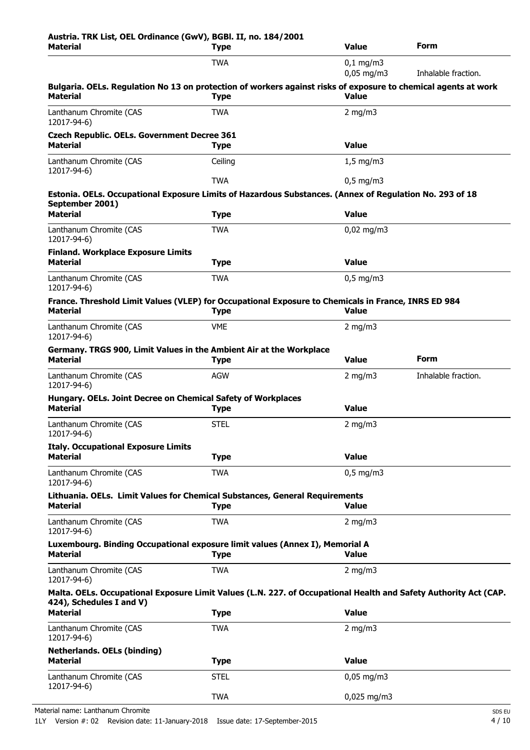| Austria. TRK List, OEL Ordinance (GwV), BGBI. II, no. 184/2001<br><b>Material</b><br>Type                                                                        |                                           | <b>Value</b>                | <b>Form</b>         |  |
|------------------------------------------------------------------------------------------------------------------------------------------------------------------|-------------------------------------------|-----------------------------|---------------------|--|
|                                                                                                                                                                  | <b>TWA</b><br>$0,1$ mg/m3<br>$0.05$ mg/m3 |                             | Inhalable fraction. |  |
| Bulgaria. OELs. Regulation No 13 on protection of workers against risks of exposure to chemical agents at work<br><b>Material</b><br><b>Value</b><br><b>Type</b> |                                           |                             |                     |  |
| Lanthanum Chromite (CAS<br>12017-94-6)                                                                                                                           | <b>TWA</b>                                | $2$ mg/m $3$                |                     |  |
| <b>Czech Republic. OELs. Government Decree 361</b><br><b>Material</b>                                                                                            | <b>Type</b>                               | <b>Value</b>                |                     |  |
| Lanthanum Chromite (CAS<br>12017-94-6)                                                                                                                           | Ceiling                                   | $1,5$ mg/m3                 |                     |  |
|                                                                                                                                                                  | <b>TWA</b>                                | $0,5$ mg/m3                 |                     |  |
| Estonia. OELs. Occupational Exposure Limits of Hazardous Substances. (Annex of Regulation No. 293 of 18<br>September 2001)                                       |                                           |                             |                     |  |
| <b>Material</b>                                                                                                                                                  | <b>Type</b>                               | <b>Value</b>                |                     |  |
| Lanthanum Chromite (CAS<br>12017-94-6)                                                                                                                           | <b>TWA</b>                                | $0,02$ mg/m3                |                     |  |
| <b>Finland. Workplace Exposure Limits</b><br><b>Material</b>                                                                                                     | <b>Type</b>                               | <b>Value</b>                |                     |  |
| Lanthanum Chromite (CAS<br>12017-94-6)                                                                                                                           | <b>TWA</b>                                | $0,5$ mg/m3                 |                     |  |
| France. Threshold Limit Values (VLEP) for Occupational Exposure to Chemicals in France, INRS ED 984<br><b>Material</b>                                           | <b>Type</b>                               | <b>Value</b>                |                     |  |
| Lanthanum Chromite (CAS<br>12017-94-6)                                                                                                                           | <b>VME</b>                                | 2 mg/m $3$                  |                     |  |
| Germany. TRGS 900, Limit Values in the Ambient Air at the Workplace<br><b>Material</b>                                                                           | <b>Type</b>                               | <b>Form</b><br><b>Value</b> |                     |  |
| Lanthanum Chromite (CAS<br>12017-94-6)                                                                                                                           | AGW                                       | 2 mg/m $3$                  | Inhalable fraction. |  |
| Hungary. OELs. Joint Decree on Chemical Safety of Workplaces<br><b>Material</b>                                                                                  | <b>Type</b>                               | <b>Value</b>                |                     |  |
| Lanthanum Chromite (CAS<br>12017-94-6)                                                                                                                           | <b>STEL</b>                               | $2$ mg/m $3$                |                     |  |
| <b>Italy. Occupational Exposure Limits</b><br><b>Material</b>                                                                                                    | <b>Type</b>                               | <b>Value</b>                |                     |  |
| Lanthanum Chromite (CAS                                                                                                                                          | <b>TWA</b>                                | $0.5$ mg/m $3$              |                     |  |
| 12017-94-6)<br>Lithuania. OELs. Limit Values for Chemical Substances, General Requirements<br><b>Material</b>                                                    | <b>Type</b>                               | <b>Value</b>                |                     |  |
| Lanthanum Chromite (CAS<br>12017-94-6)                                                                                                                           | <b>TWA</b>                                | 2 mg/m $3$                  |                     |  |
| Luxembourg. Binding Occupational exposure limit values (Annex I), Memorial A<br><b>Material</b>                                                                  | <b>Type</b>                               | <b>Value</b>                |                     |  |
| Lanthanum Chromite (CAS<br>12017-94-6)                                                                                                                           | <b>TWA</b>                                | 2 mg/m $3$                  |                     |  |
| Malta. OELs. Occupational Exposure Limit Values (L.N. 227. of Occupational Health and Safety Authority Act (CAP.<br>424), Schedules I and V)                     |                                           |                             |                     |  |
| <b>Material</b>                                                                                                                                                  | <b>Type</b>                               | <b>Value</b>                |                     |  |
| Lanthanum Chromite (CAS<br>12017-94-6)                                                                                                                           | <b>TWA</b>                                | 2 mg/m $3$                  |                     |  |
| <b>Netherlands. OELs (binding)</b><br><b>Material</b>                                                                                                            | <b>Type</b>                               | <b>Value</b>                |                     |  |
| Lanthanum Chromite (CAS                                                                                                                                          | <b>STEL</b>                               | $0,05$ mg/m3                |                     |  |
| 12017-94-6)                                                                                                                                                      | <b>TWA</b>                                | 0,025 mg/m3                 |                     |  |

Material name: Lanthanum Chromite SDS EU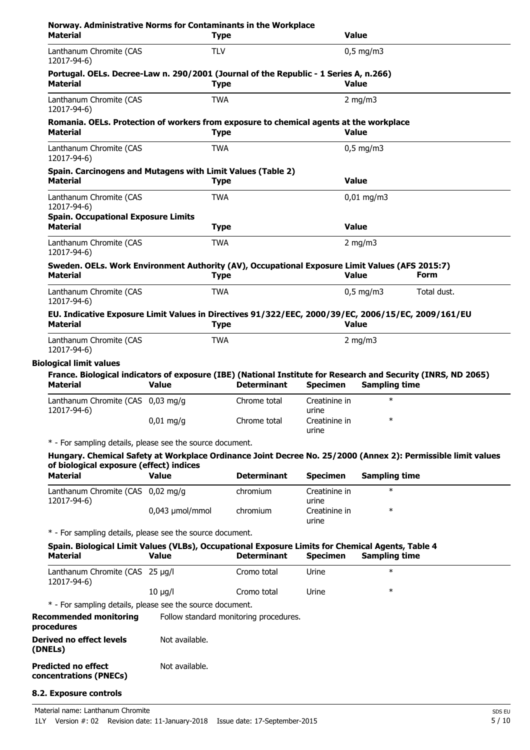| Norway. Administrative Norms for Contaminants in the Workplace<br><b>Material</b>                                                                                         |                 | <b>Type</b> |                                        |                        | <b>Value</b>           |             |
|---------------------------------------------------------------------------------------------------------------------------------------------------------------------------|-----------------|-------------|----------------------------------------|------------------------|------------------------|-------------|
| Lanthanum Chromite (CAS<br>12017-94-6)                                                                                                                                    |                 | <b>TLV</b>  |                                        |                        | $0,5$ mg/m3            |             |
| Portugal. OELs. Decree-Law n. 290/2001 (Journal of the Republic - 1 Series A, n.266)<br><b>Material</b>                                                                   |                 | <b>Type</b> |                                        |                        | <b>Value</b>           |             |
| Lanthanum Chromite (CAS<br>12017-94-6)                                                                                                                                    |                 | <b>TWA</b>  |                                        |                        | 2 mg/m $3$             |             |
| Romania. OELs. Protection of workers from exposure to chemical agents at the workplace<br><b>Material</b>                                                                 |                 | <b>Type</b> |                                        |                        | <b>Value</b>           |             |
| Lanthanum Chromite (CAS<br>12017-94-6)                                                                                                                                    |                 | <b>TWA</b>  |                                        |                        | $0,5$ mg/m3            |             |
| Spain. Carcinogens and Mutagens with Limit Values (Table 2)<br><b>Material</b>                                                                                            |                 | <b>Type</b> |                                        |                        | <b>Value</b>           |             |
| Lanthanum Chromite (CAS<br>12017-94-6)                                                                                                                                    |                 | <b>TWA</b>  |                                        |                        | $0,01 \,\mathrm{mg/m}$ |             |
| <b>Spain. Occupational Exposure Limits</b><br><b>Material</b>                                                                                                             |                 | <b>Type</b> |                                        |                        | <b>Value</b>           |             |
| Lanthanum Chromite (CAS<br>12017-94-6)                                                                                                                                    |                 | <b>TWA</b>  |                                        |                        | 2 mg/m $3$             |             |
| Sweden. OELs. Work Environment Authority (AV), Occupational Exposure Limit Values (AFS 2015:7)<br><b>Material</b>                                                         |                 | <b>Type</b> |                                        |                        | <b>Value</b>           | <b>Form</b> |
| Lanthanum Chromite (CAS<br>12017-94-6)                                                                                                                                    |                 | <b>TWA</b>  |                                        |                        | $0.5$ mg/m3            | Total dust. |
| EU. Indicative Exposure Limit Values in Directives 91/322/EEC, 2000/39/EC, 2006/15/EC, 2009/161/EU<br><b>Material</b>                                                     |                 | <b>Type</b> |                                        |                        | <b>Value</b>           |             |
| Lanthanum Chromite (CAS<br>12017-94-6)                                                                                                                                    |                 | <b>TWA</b>  |                                        |                        | 2 mg/m $3$             |             |
| <b>Biological limit values</b>                                                                                                                                            |                 |             |                                        |                        |                        |             |
| France. Biological indicators of exposure (IBE) (National Institute for Research and Security (INRS, ND 2065)<br><b>Material</b>                                          | <b>Value</b>    |             | <b>Determinant</b>                     | <b>Specimen</b>        | <b>Sampling time</b>   |             |
| Lanthanum Chromite (CAS 0,03 mg/g<br>12017-94-6)                                                                                                                          |                 |             | Chrome total                           | Creatinine in<br>urine | $\ast$                 |             |
|                                                                                                                                                                           | $0,01$ mg/g     |             | Chrome total                           | Creatinine in<br>urine | ∗                      |             |
| * - For sampling details, please see the source document.<br>Hungary. Chemical Safety at Workplace Ordinance Joint Decree No. 25/2000 (Annex 2): Permissible limit values |                 |             |                                        |                        |                        |             |
| of biological exposure (effect) indices<br><b>Material</b>                                                                                                                | <b>Value</b>    |             | <b>Determinant</b>                     | <b>Specimen</b>        | <b>Sampling time</b>   |             |
| Lanthanum Chromite (CAS 0,02 mg/g                                                                                                                                         |                 |             | chromium                               | Creatinine in          | $\ast$                 |             |
| 12017-94-6)                                                                                                                                                               | 0,043 µmol/mmol |             | chromium                               | urine<br>Creatinine in | $\ast$                 |             |
| * - For sampling details, please see the source document.                                                                                                                 |                 |             |                                        | urine                  |                        |             |
| Spain. Biological Limit Values (VLBs), Occupational Exposure Limits for Chemical Agents, Table 4                                                                          |                 |             |                                        |                        |                        |             |
| <b>Material</b>                                                                                                                                                           | <b>Value</b>    |             | <b>Determinant</b>                     | <b>Specimen</b>        | <b>Sampling time</b>   |             |
| Lanthanum Chromite (CAS 25 µg/l<br>12017-94-6)                                                                                                                            |                 |             | Cromo total                            | Urine                  | $\ast$                 |             |
|                                                                                                                                                                           | $10 \mu g/l$    |             | Cromo total                            | Urine                  | $\ast$                 |             |
| * - For sampling details, please see the source document.                                                                                                                 |                 |             |                                        |                        |                        |             |
| <b>Recommended monitoring</b><br>procedures                                                                                                                               |                 |             | Follow standard monitoring procedures. |                        |                        |             |
| <b>Derived no effect levels</b><br>(DNELs)                                                                                                                                | Not available.  |             |                                        |                        |                        |             |
| <b>Predicted no effect</b><br>concentrations (PNECs)                                                                                                                      | Not available.  |             |                                        |                        |                        |             |
| 8.2. Exposure controls                                                                                                                                                    |                 |             |                                        |                        |                        |             |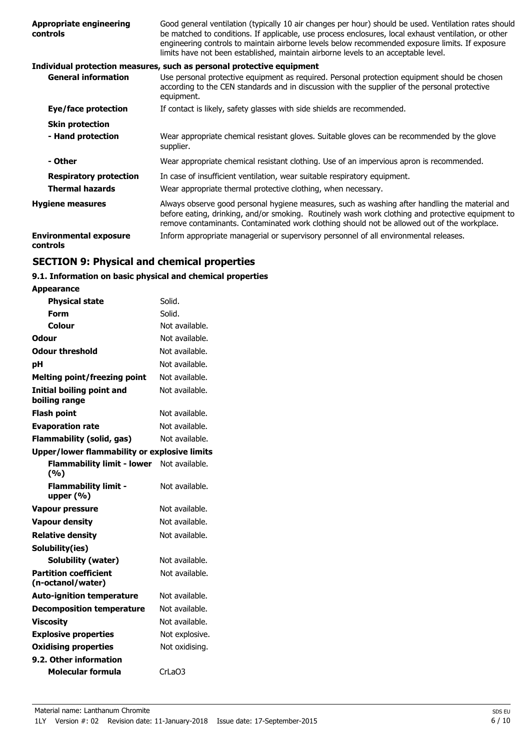| <b>Appropriate engineering</b><br>controls | Good general ventilation (typically 10 air changes per hour) should be used. Ventilation rates should<br>be matched to conditions. If applicable, use process enclosures, local exhaust ventilation, or other<br>engineering controls to maintain airborne levels below recommended exposure limits. If exposure<br>limits have not been established, maintain airborne levels to an acceptable level. |
|--------------------------------------------|--------------------------------------------------------------------------------------------------------------------------------------------------------------------------------------------------------------------------------------------------------------------------------------------------------------------------------------------------------------------------------------------------------|
|                                            | Individual protection measures, such as personal protective equipment                                                                                                                                                                                                                                                                                                                                  |
| <b>General information</b>                 | Use personal protective equipment as required. Personal protection equipment should be chosen<br>according to the CEN standards and in discussion with the supplier of the personal protective<br>equipment.                                                                                                                                                                                           |
| Eye/face protection                        | If contact is likely, safety glasses with side shields are recommended.                                                                                                                                                                                                                                                                                                                                |
| <b>Skin protection</b>                     |                                                                                                                                                                                                                                                                                                                                                                                                        |
| - Hand protection                          | Wear appropriate chemical resistant gloves. Suitable gloves can be recommended by the glove<br>supplier.                                                                                                                                                                                                                                                                                               |
| - Other                                    | Wear appropriate chemical resistant clothing. Use of an impervious apron is recommended.                                                                                                                                                                                                                                                                                                               |
| <b>Respiratory protection</b>              | In case of insufficient ventilation, wear suitable respiratory equipment.                                                                                                                                                                                                                                                                                                                              |
| <b>Thermal hazards</b>                     | Wear appropriate thermal protective clothing, when necessary.                                                                                                                                                                                                                                                                                                                                          |
| <b>Hygiene measures</b>                    | Always observe good personal hygiene measures, such as washing after handling the material and<br>before eating, drinking, and/or smoking. Routinely wash work clothing and protective equipment to<br>remove contaminants. Contaminated work clothing should not be allowed out of the workplace.                                                                                                     |
| <b>Environmental exposure</b><br>controls  | Inform appropriate managerial or supervisory personnel of all environmental releases.                                                                                                                                                                                                                                                                                                                  |
|                                            |                                                                                                                                                                                                                                                                                                                                                                                                        |

# **SECTION 9: Physical and chemical properties**

### **9.1. Information on basic physical and chemical properties**

| <b>Appearance</b>                                   |                |
|-----------------------------------------------------|----------------|
| <b>Physical state</b>                               | Solid.         |
| Form                                                | Solid.         |
| Colour                                              | Not available. |
| Odour                                               | Not available. |
| <b>Odour threshold</b>                              | Not available. |
| pН                                                  | Not available. |
| <b>Melting point/freezing point</b>                 | Not available. |
| Initial boiling point and<br>boiling range          | Not available. |
| <b>Flash point</b>                                  | Not available. |
| <b>Evaporation rate</b>                             | Not available. |
| <b>Flammability (solid, gas)</b>                    | Not available. |
| <b>Upper/lower flammability or explosive limits</b> |                |
| <b>Flammability limit - lower</b><br>(%)            | Not available. |
| <b>Flammability limit -</b><br>upper $(% )$         | Not available. |
| <b>Vapour pressure</b>                              | Not available. |
| <b>Vapour density</b>                               | Not available. |
| <b>Relative density</b>                             | Not available. |
| Solubility(ies)                                     |                |
| Solubility (water)                                  | Not available. |
| <b>Partition coefficient</b><br>(n-octanol/water)   | Not available. |
| <b>Auto-ignition temperature</b>                    | Not available. |
| <b>Decomposition temperature</b>                    | Not available. |
| <b>Viscosity</b>                                    | Not available. |
| <b>Explosive properties</b>                         | Not explosive. |
| <b>Oxidising properties</b>                         | Not oxidising. |
| 9.2. Other information                              |                |
| <b>Molecular formula</b>                            | CrLaO3         |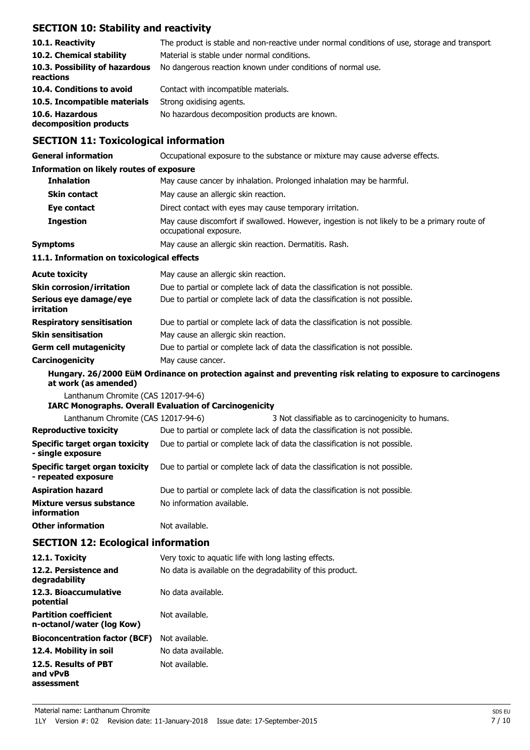## **SECTION 10: Stability and reactivity**

| 10.1. Reactivity<br>10.2. Chemical stability<br>10.3. Possibility of hazardous<br>reactions | The product is stable and non-reactive under normal conditions of use, storage and transport.<br>Material is stable under normal conditions.<br>No dangerous reaction known under conditions of normal use. |
|---------------------------------------------------------------------------------------------|-------------------------------------------------------------------------------------------------------------------------------------------------------------------------------------------------------------|
| 10.4. Conditions to avoid                                                                   | Contact with incompatible materials.                                                                                                                                                                        |
| 10.5. Incompatible materials                                                                | Strong oxidising agents.                                                                                                                                                                                    |
| 10.6. Hazardous<br>decomposition products                                                   | No hazardous decomposition products are known.                                                                                                                                                              |

### **SECTION 11: Toxicological information**

| <b>General information</b>                                   | Occupational exposure to the substance or mixture may cause adverse effects.                                                       |
|--------------------------------------------------------------|------------------------------------------------------------------------------------------------------------------------------------|
| <b>Information on likely routes of exposure</b>              |                                                                                                                                    |
| <b>Inhalation</b>                                            | May cause cancer by inhalation. Prolonged inhalation may be harmful.                                                               |
| <b>Skin contact</b>                                          | May cause an allergic skin reaction.                                                                                               |
| Eye contact                                                  | Direct contact with eyes may cause temporary irritation.                                                                           |
| <b>Ingestion</b>                                             | May cause discomfort if swallowed. However, ingestion is not likely to be a primary route of<br>occupational exposure.             |
| <b>Symptoms</b>                                              | May cause an allergic skin reaction. Dermatitis. Rash.                                                                             |
| 11.1. Information on toxicological effects                   |                                                                                                                                    |
| <b>Acute toxicity</b>                                        | May cause an allergic skin reaction.                                                                                               |
| <b>Skin corrosion/irritation</b>                             | Due to partial or complete lack of data the classification is not possible.                                                        |
| Serious eye damage/eye<br>irritation                         | Due to partial or complete lack of data the classification is not possible.                                                        |
| <b>Respiratory sensitisation</b>                             | Due to partial or complete lack of data the classification is not possible.                                                        |
| <b>Skin sensitisation</b>                                    | May cause an allergic skin reaction.                                                                                               |
| <b>Germ cell mutagenicity</b>                                | Due to partial or complete lack of data the classification is not possible.                                                        |
| Carcinogenicity                                              | May cause cancer.                                                                                                                  |
| at work (as amended)                                         | Hungary. 26/2000 EüM Ordinance on protection against and preventing risk relating to exposure to carcinogens                       |
| Lanthanum Chromite (CAS 12017-94-6)                          |                                                                                                                                    |
| Lanthanum Chromite (CAS 12017-94-6)                          | <b>IARC Monographs. Overall Evaluation of Carcinogenicity</b>                                                                      |
| <b>Reproductive toxicity</b>                                 | 3 Not classifiable as to carcinogenicity to humans.<br>Due to partial or complete lack of data the classification is not possible. |
| <b>Specific target organ toxicity</b>                        | Due to partial or complete lack of data the classification is not possible.                                                        |
| - single exposure                                            |                                                                                                                                    |
| <b>Specific target organ toxicity</b><br>- repeated exposure | Due to partial or complete lack of data the classification is not possible.                                                        |
| <b>Aspiration hazard</b>                                     | Due to partial or complete lack of data the classification is not possible.                                                        |
| Mixture versus substance<br>information                      | No information available.                                                                                                          |
| <b>Other information</b>                                     | Not available.                                                                                                                     |
| <b>SECTION 12: Ecological information</b>                    |                                                                                                                                    |
| 12.1. Toxicity                                               | Very toxic to aquatic life with long lasting effects.                                                                              |
| 12.2. Persistence and<br>degradability                       | No data is available on the degradability of this product.                                                                         |
| 12.3. Bioaccumulative<br>potential                           | No data available.                                                                                                                 |
| <b>Partition coefficient</b><br>n-octanol/water (log Kow)    | Not available.                                                                                                                     |
| <b>Bioconcentration factor (BCF)</b>                         | Not available.                                                                                                                     |
| 12.4. Mobility in soil                                       | No data available.                                                                                                                 |
| 12.5. Results of PBT<br>and vPvB<br>assessment               | Not available.                                                                                                                     |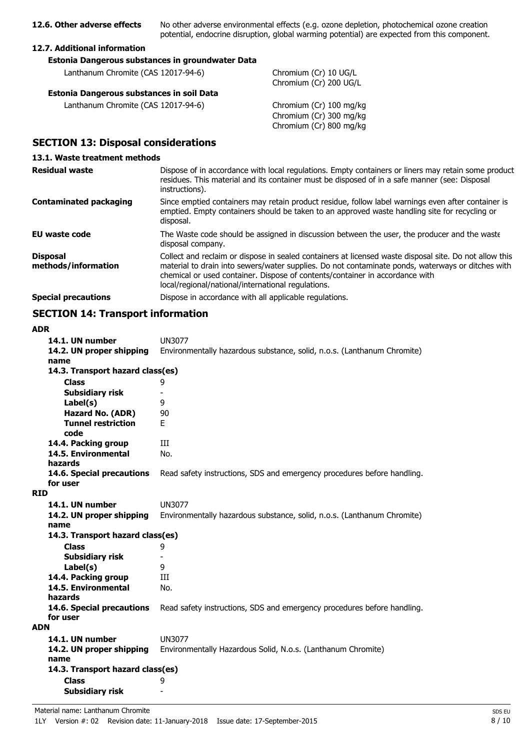**12.6. Other adverse effects** No other adverse environmental effects (e.g. ozone depletion, photochemical ozone creation potential, endocrine disruption, global warming potential) are expected from this component.

#### **12.7. Additional information**

| Estonia Dangerous substances in groundwater Data |  |
|--------------------------------------------------|--|
|                                                  |  |

Lanthanum Chromite (CAS 12017-94-6) Chromium (Cr) 10 UG/L

#### **Estonia Dangerous substances in soil Data**

Lanthanum Chromite (CAS 12017-94-6) Chromium (Cr) 100 mg/kg

Chromium (Cr) 200 UG/L

Chromium (Cr) 300 mg/kg Chromium (Cr) 800 mg/kg

### **SECTION 13: Disposal considerations**

#### **13.1. Waste treatment methods**

| <b>Residual waste</b>                  | Dispose of in accordance with local regulations. Empty containers or liners may retain some product<br>residues. This material and its container must be disposed of in a safe manner (see: Disposal<br>instructions).                                                                                                                            |
|----------------------------------------|---------------------------------------------------------------------------------------------------------------------------------------------------------------------------------------------------------------------------------------------------------------------------------------------------------------------------------------------------|
| <b>Contaminated packaging</b>          | Since emptied containers may retain product residue, follow label warnings even after container is<br>emptied. Empty containers should be taken to an approved waste handling site for recycling or<br>disposal.                                                                                                                                  |
| EU waste code                          | The Waste code should be assigned in discussion between the user, the producer and the waste<br>disposal company.                                                                                                                                                                                                                                 |
| <b>Disposal</b><br>methods/information | Collect and reclaim or dispose in sealed containers at licensed waste disposal site. Do not allow this<br>material to drain into sewers/water supplies. Do not contaminate ponds, waterways or ditches with<br>chemical or used container. Dispose of contents/container in accordance with<br>local/regional/national/international regulations. |
| <b>Special precautions</b>             | Dispose in accordance with all applicable regulations.                                                                                                                                                                                                                                                                                            |

### **SECTION 14: Transport information**

### **ADR**

| 14.1. UN number                   | <b>UN3077</b>                                                           |
|-----------------------------------|-------------------------------------------------------------------------|
| 14.2. UN proper shipping          | Environmentally hazardous substance, solid, n.o.s. (Lanthanum Chromite) |
| name                              |                                                                         |
| 14.3. Transport hazard class(es)  |                                                                         |
| <b>Class</b>                      | 9                                                                       |
| <b>Subsidiary risk</b>            |                                                                         |
| Label(s)                          | 9                                                                       |
| <b>Hazard No. (ADR)</b>           | 90                                                                      |
| <b>Tunnel restriction</b><br>code | F.                                                                      |
| 14.4. Packing group               | Ш                                                                       |
| 14.5. Environmental               | No.                                                                     |
| hazards                           |                                                                         |
| 14.6. Special precautions         | Read safety instructions, SDS and emergency procedures before handling. |
| for user                          |                                                                         |
| <b>RID</b>                        |                                                                         |
| 14.1. UN number                   | <b>UN3077</b>                                                           |
| 14.2. UN proper shipping          | Environmentally hazardous substance, solid, n.o.s. (Lanthanum Chromite) |
| name                              |                                                                         |
| 14.3. Transport hazard class(es)  |                                                                         |
| <b>Class</b>                      | 9                                                                       |
| Subsidiary risk                   | $\overline{\phantom{0}}$                                                |
| Label(s)                          | 9                                                                       |
| 14.4. Packing group               | Ш                                                                       |
| 14.5. Environmental               | No.                                                                     |
| hazards                           |                                                                         |
| 14.6. Special precautions         | Read safety instructions, SDS and emergency procedures before handling. |
| for user                          |                                                                         |
| <b>ADN</b>                        |                                                                         |
| 14.1. UN number                   | <b>UN3077</b>                                                           |
| 14.2. UN proper shipping          | Environmentally Hazardous Solid, N.o.s. (Lanthanum Chromite)            |
| name                              |                                                                         |
| 14.3. Transport hazard class(es)  |                                                                         |
| <b>Class</b>                      | 9                                                                       |
| Subsidiary risk                   |                                                                         |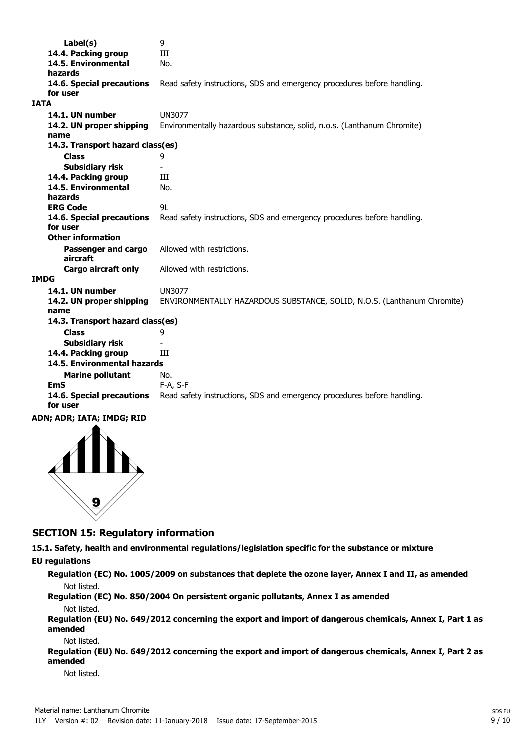| Label(s)                         | 9                                                                       |
|----------------------------------|-------------------------------------------------------------------------|
| 14.4. Packing group              | III                                                                     |
| 14.5. Environmental              | No.                                                                     |
| hazards                          |                                                                         |
| 14.6. Special precautions        | Read safety instructions, SDS and emergency procedures before handling. |
| for user                         |                                                                         |
| <b>IATA</b>                      |                                                                         |
| 14.1. UN number                  | <b>UN3077</b>                                                           |
| 14.2. UN proper shipping         | Environmentally hazardous substance, solid, n.o.s. (Lanthanum Chromite) |
| name                             |                                                                         |
| 14.3. Transport hazard class(es) |                                                                         |
| <b>Class</b>                     | 9                                                                       |
| Subsidiary risk                  |                                                                         |
| 14.4. Packing group              | Ш                                                                       |
| 14.5. Environmental              | No.                                                                     |
| hazards                          |                                                                         |
| <b>ERG Code</b>                  | 9L                                                                      |
| 14.6. Special precautions        | Read safety instructions, SDS and emergency procedures before handling. |
| for user                         |                                                                         |
| <b>Other information</b>         |                                                                         |
| Passenger and cargo              | Allowed with restrictions.                                              |
| aircraft                         |                                                                         |
| <b>Cargo aircraft only</b>       | Allowed with restrictions.                                              |
| <b>IMDG</b>                      |                                                                         |
| 14.1. UN number                  | <b>UN3077</b>                                                           |
| 14.2. UN proper shipping         | ENVIRONMENTALLY HAZARDOUS SUBSTANCE, SOLID, N.O.S. (Lanthanum Chromite) |
| name                             |                                                                         |
| 14.3. Transport hazard class(es) |                                                                         |
| <b>Class</b>                     | 9                                                                       |
| <b>Subsidiary risk</b>           |                                                                         |
| 14.4. Packing group              | Ш                                                                       |
| 14.5. Environmental hazards      |                                                                         |
| <b>Marine pollutant</b>          | No.                                                                     |
| EmS                              | F-A, S-F                                                                |
| 14.6. Special precautions        | Read safety instructions, SDS and emergency procedures before handling. |
| for user                         |                                                                         |
|                                  |                                                                         |

### **ADN; ADR; IATA; IMDG; RID**



### **SECTION 15: Regulatory information**

**15.1. Safety, health and environmental regulations/legislation specific for the substance or mixture**

### **EU regulations**

**Regulation (EC) No. 1005/2009 on substances that deplete the ozone layer, Annex I and II, as amended** Not listed.

**Regulation (EC) No. 850/2004 On persistent organic pollutants, Annex I as amended** Not listed.

**Regulation (EU) No. 649/2012 concerning the export and import of dangerous chemicals, Annex I, Part 1 as amended**

#### Not listed.

**Regulation (EU) No. 649/2012 concerning the export and import of dangerous chemicals, Annex I, Part 2 as amended**

Not listed.